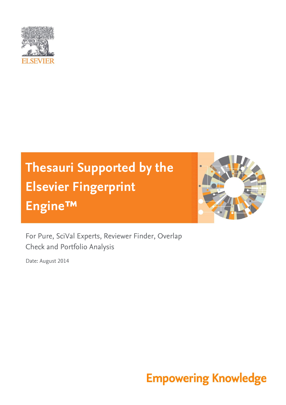

# **Thesauri Supported by the Elsevier Fingerprint Engine™**



For Pure, SciVal Experts, Reviewer Finder, Overlap Check and Portfolio Analysis

Date: August 2014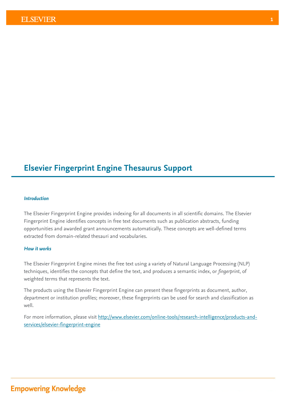### **Elsevier Fingerprint Engine Thesaurus Support**

#### *Introduction*

The Elsevier Fingerprint Engine provides indexing for all documents in all scientific domains. The Elsevier Fingerprint Engine identifies concepts in free text documents such as publication abstracts, funding opportunities and awarded grant announcements automatically. These concepts are well-defined terms extracted from domain-related thesauri and vocabularies.

#### *How it works*

The Elsevier Fingerprint Engine mines the free text using a variety of Natural Language Processing (NLP) techniques, identifies the concepts that define the text, and produces a semantic index, or *fingerprint*, of weighted terms that represents the text.

The products using the Elsevier Fingerprint Engine can present these fingerprints as document, author, department or institution profiles; moreover, these fingerprints can be used for search and classification as well.

For more information, please visit [http://www.elsevier.com/online-tools/research-intelligence/products-and](http://www.elsevier.com/online-tools/research-intelligence/products-and-services/elsevier-fingerprint-engine)[services/elsevier-fingerprint-engine](http://www.elsevier.com/online-tools/research-intelligence/products-and-services/elsevier-fingerprint-engine)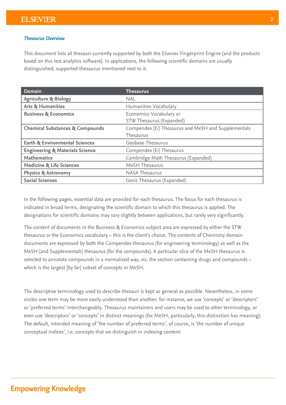#### *Thesaurus Overview*

This document lists all thesauri currently supported by both the Elsevier Fingerprint Engine (and the products based on this text analytics software). In applications, the following scientific domains are usually distinguished; supported thesaurus mentioned next to it.

| Domain                                     | <b>Thesaurus</b>                                    |
|--------------------------------------------|-----------------------------------------------------|
| <b>Agriculture &amp; Biology</b>           | <b>NAL</b>                                          |
| <b>Arts &amp; Humanities</b>               | Humanities Vocabulary                               |
| <b>Business &amp; Economics</b>            | Economics Vocabulary or                             |
|                                            | STW Thesaurus (Expanded)                            |
| <b>Chemical Substances &amp; Compounds</b> | Compendex (Ei) Thesaurus and MeSH and Supplementals |
|                                            | Thesaurus                                           |
| <b>Earth &amp; Environmental Sciences</b>  | Geobase Thesaurus                                   |
| <b>Engineering &amp; Materials Science</b> | Compendex (Ei) Thesaurus                            |
| <b>Mathematics</b>                         | Cambridge Math Thesaurus (Expanded)                 |
| <b>Medicine &amp; Life Sciences</b>        | MeSH Thesaurus                                      |
| <b>Physics &amp; Astronomy</b>             | <b>NASA Thesaurus</b>                               |
| <b>Social Sciences</b>                     | Gesis Thesaurus (Expanded)                          |

In the following pages, essential data are provided for each thesaurus. The focus for each thesaurus is indicated in broad terms, designating the scientific domain to which this thesaurus is applied. The designations for scientific domains may vary slightly between applications, but rarely very significantly.

The content of documents in the Business & Economics subject area are expressed by either the STW thesaurus *or* the Economics vocabulary – this is the client's choice. The contents of Chemistry domain documents are expressed by both the Compendex thesaurus (for engineering terminology) as well as the MeSH (and Supplementals) thesaurus (for the compounds). A particular slice of the MeSH thesaurus is selected to annotate compounds in a normalized way, viz. the section containing drugs and compounds – which is the largest [by far] subset of concepts in MeSH.

The descriptive terminology used to describe thesauri is kept as general as possible. Nevertheless, in some circles one term may be more easily understood than another; for instance, we use 'concepts' or 'descriptors' or 'preferred terms' interchangeably. Thesaurus maintainers and users may be used to other terminology, or even use 'descriptors' or 'concepts' in distinct meanings (for MeSH, particularly, this distinction has meaning). The default, intended meaning of 'the number of preferred terms', of course, is 'the number of unique conceptual indices', i.e. concepts that we distinguish in indexing content.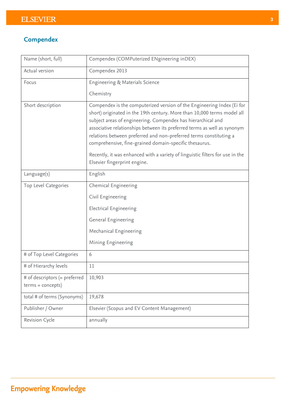### **Compendex**

| Name (short, full)                                   | Compendex (COMPuterized ENgineering inDEX)                                                                                                                                                                                                                                                                                                                                                                                                                                                                                                     |
|------------------------------------------------------|------------------------------------------------------------------------------------------------------------------------------------------------------------------------------------------------------------------------------------------------------------------------------------------------------------------------------------------------------------------------------------------------------------------------------------------------------------------------------------------------------------------------------------------------|
| Actual version                                       | Compendex 2013                                                                                                                                                                                                                                                                                                                                                                                                                                                                                                                                 |
| Focus                                                | Engineering & Materials Science                                                                                                                                                                                                                                                                                                                                                                                                                                                                                                                |
|                                                      | Chemistry                                                                                                                                                                                                                                                                                                                                                                                                                                                                                                                                      |
| Short description                                    | Compendex is the computerized version of the Engineering Index (Ei for<br>short) originated in the 19th century. More than 10,000 terms model all<br>subject areas of engineering. Compendex has hierarchical and<br>associative relationships between its preferred terms as well as synonym<br>relations between preferred and non-preferred terms constituting a<br>comprehensive, fine-grained domain-specific thesaurus.<br>Recently, it was enhanced with a variety of linguistic filters for use in the<br>Elsevier fingerprint engine. |
| Language(s)                                          | English                                                                                                                                                                                                                                                                                                                                                                                                                                                                                                                                        |
| Top Level Categories                                 | <b>Chemical Engineering</b>                                                                                                                                                                                                                                                                                                                                                                                                                                                                                                                    |
|                                                      | Civil Engineering                                                                                                                                                                                                                                                                                                                                                                                                                                                                                                                              |
|                                                      | <b>Electrical Engineering</b>                                                                                                                                                                                                                                                                                                                                                                                                                                                                                                                  |
|                                                      | General Engineering                                                                                                                                                                                                                                                                                                                                                                                                                                                                                                                            |
|                                                      | Mechanical Engineering                                                                                                                                                                                                                                                                                                                                                                                                                                                                                                                         |
|                                                      | Mining Engineering                                                                                                                                                                                                                                                                                                                                                                                                                                                                                                                             |
| # of Top Level Categories                            | 6                                                                                                                                                                                                                                                                                                                                                                                                                                                                                                                                              |
| # of Hierarchy levels                                | 11                                                                                                                                                                                                                                                                                                                                                                                                                                                                                                                                             |
| # of descriptors (= preferred<br>$terms = concepts)$ | 10,903                                                                                                                                                                                                                                                                                                                                                                                                                                                                                                                                         |
| total # of terms (Synonyms)                          | 19,678                                                                                                                                                                                                                                                                                                                                                                                                                                                                                                                                         |
| Publisher / Owner                                    | Elsevier (Scopus and EV Content Management)                                                                                                                                                                                                                                                                                                                                                                                                                                                                                                    |
| Revision Cycle                                       | annually                                                                                                                                                                                                                                                                                                                                                                                                                                                                                                                                       |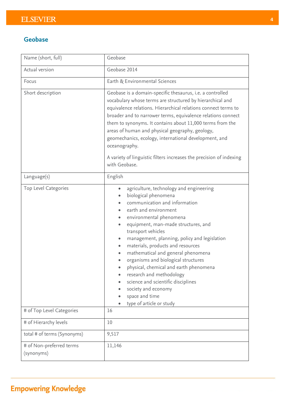#### **Geobase**

| Name (short, full)                     | Geobase                                                                                                                                                                                                                                                                                                                                                                                                                                                                                                                                                                                  |  |
|----------------------------------------|------------------------------------------------------------------------------------------------------------------------------------------------------------------------------------------------------------------------------------------------------------------------------------------------------------------------------------------------------------------------------------------------------------------------------------------------------------------------------------------------------------------------------------------------------------------------------------------|--|
| Actual version                         | Geobase 2014                                                                                                                                                                                                                                                                                                                                                                                                                                                                                                                                                                             |  |
| Focus                                  | Earth & Environmental Sciences                                                                                                                                                                                                                                                                                                                                                                                                                                                                                                                                                           |  |
| Short description                      | Geobase is a domain-specific thesaurus, i.e. a controlled<br>vocabulary whose terms are structured by hierarchical and<br>equivalence relations. Hierarchical relations connect terms to<br>broader and to narrower terms, equivalence relations connect<br>them to synonyms. It contains about 11,000 terms from the<br>areas of human and physical geography, geology,<br>geomechanics, ecology, international development, and<br>oceanography.<br>A variety of linguistic filters increases the precision of indexing                                                                |  |
|                                        | with Geobase.                                                                                                                                                                                                                                                                                                                                                                                                                                                                                                                                                                            |  |
| Language(s)                            | English                                                                                                                                                                                                                                                                                                                                                                                                                                                                                                                                                                                  |  |
| Top Level Categories                   | agriculture, technology and engineering<br>۰<br>biological phenomena<br>communication and information<br>earth and environment<br>environmental phenomena<br>۰<br>equipment, man-made structures, and<br>transport vehicles<br>management, planning, policy and legislation<br>٠<br>materials, products and resources<br>۰<br>mathematical and general phenomena<br>organisms and biological structures<br>physical, chemical and earth phenomena<br>research and methodology<br>science and scientific disciplines<br>society and economy<br>space and time<br>type of article or study |  |
| # of Top Level Categories              | 16                                                                                                                                                                                                                                                                                                                                                                                                                                                                                                                                                                                       |  |
| # of Hierarchy levels                  | 10                                                                                                                                                                                                                                                                                                                                                                                                                                                                                                                                                                                       |  |
| total # of terms (Synonyms)            | 9,517                                                                                                                                                                                                                                                                                                                                                                                                                                                                                                                                                                                    |  |
| # of Non-preferred terms<br>(synonyms) | 11,146                                                                                                                                                                                                                                                                                                                                                                                                                                                                                                                                                                                   |  |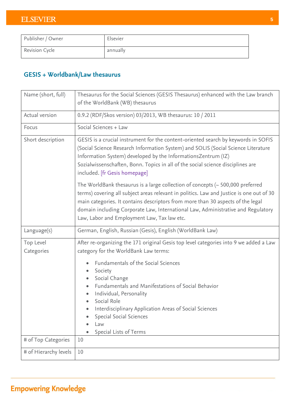| Publisher / Owner | Elsevier |
|-------------------|----------|
| Revision Cycle    | annually |

### **GESIS + Worldbank/Law thesaurus**

| Name (short, full)      | Thesaurus for the Social Sciences (GESIS Thesaurus) enhanced with the Law branch<br>of the WorldBank (WB) thesaurus                                                                                                                                                                                                                                                                                  |  |
|-------------------------|------------------------------------------------------------------------------------------------------------------------------------------------------------------------------------------------------------------------------------------------------------------------------------------------------------------------------------------------------------------------------------------------------|--|
| Actual version          | 0.9.2 (RDF/Skos version) 03/2013, WB thesaurus: 10 / 2011                                                                                                                                                                                                                                                                                                                                            |  |
| Focus                   | Social Sciences + Law                                                                                                                                                                                                                                                                                                                                                                                |  |
| Short description       | GESIS is a crucial instrument for the content-oriented search by keywords in SOFIS<br>(Social Science Research Information System) and SOLIS (Social Science Literature<br>Information System) developed by the InformationsZentrum (IZ)<br>Sozialwissenschaften, Bonn. Topics in all of the social science disciplines are<br>included. [fr Gesis homepage]                                         |  |
|                         | The WorldBank thesaurus is a large collection of concepts $\sim$ 500,000 preferred<br>terms) covering all subject areas relevant in politics. Law and Justice is one out of 30<br>main categories. It contains descriptors from more than 30 aspects of the legal<br>domain including Corporate Law, International Law, Administrative and Regulatory<br>Law, Labor and Employment Law, Tax law etc. |  |
| Language(s)             | German, English, Russian (Gesis), English (WorldBank Law)                                                                                                                                                                                                                                                                                                                                            |  |
| Top Level<br>Categories | After re-organizing the 171 original Gesis top level categories into 9 we added a Law<br>category for the WorldBank Law terms:                                                                                                                                                                                                                                                                       |  |
|                         | <b>Fundamentals of the Social Sciences</b><br>Society<br>$\bullet$<br>Social Change<br>$\bullet$<br>Fundamentals and Manifestations of Social Behavior<br>Individual, Personality<br>Social Role<br>Interdisciplinary Application Areas of Social Sciences<br><b>Special Social Sciences</b><br>Law<br>Special Lists of Terms                                                                        |  |
| # of Top Categories     | 10                                                                                                                                                                                                                                                                                                                                                                                                   |  |
| # of Hierarchy levels   | 10                                                                                                                                                                                                                                                                                                                                                                                                   |  |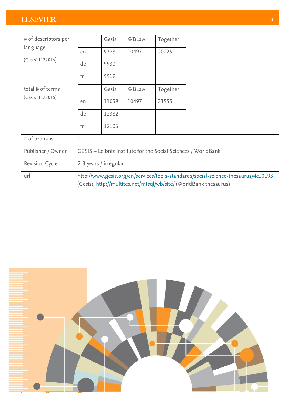| # of descriptors per  |                                                                                                                                                        | Gesis | WBLaw | Together |                                                               |
|-----------------------|--------------------------------------------------------------------------------------------------------------------------------------------------------|-------|-------|----------|---------------------------------------------------------------|
| language              | en                                                                                                                                                     | 9728  | 10497 | 20225    |                                                               |
| (Gesis11122016)       | de                                                                                                                                                     | 9930  |       |          |                                                               |
|                       | f <sub>r</sub>                                                                                                                                         | 9919  |       |          |                                                               |
| total # of terms      |                                                                                                                                                        | Gesis | WBLaw | Together |                                                               |
| (Gesis11122016)       | en                                                                                                                                                     | 11058 | 10497 | 21555    |                                                               |
|                       | de                                                                                                                                                     | 12382 |       |          |                                                               |
|                       | fr                                                                                                                                                     | 12105 |       |          |                                                               |
| # of orphans          | $\overline{0}$                                                                                                                                         |       |       |          |                                                               |
| Publisher / Owner     |                                                                                                                                                        |       |       |          | GESIS - Leibniz Institute for the Social Sciences / WorldBank |
| <b>Revision Cycle</b> | 2-3 years / irregular                                                                                                                                  |       |       |          |                                                               |
| url                   | http://www.gesis.org/en/services/tools-standards/social-science-thesaurus/#c10193<br>(Gesis), http://multites.net/mtsql/wb/site/ (WorldBank thesaurus) |       |       |          |                                                               |

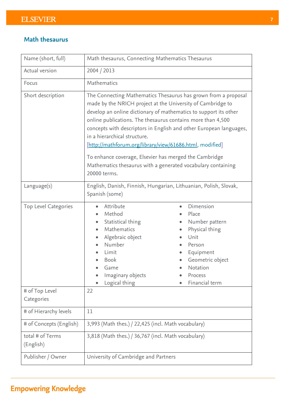#### **Math thesaurus**

| Name (short, full)                                   | Math thesaurus, Connecting Mathematics Thesaurus                                                                                                                                                                                                                                                                                                                                                                                                                                                                                                             |                                                                                                                                                                 |  |
|------------------------------------------------------|--------------------------------------------------------------------------------------------------------------------------------------------------------------------------------------------------------------------------------------------------------------------------------------------------------------------------------------------------------------------------------------------------------------------------------------------------------------------------------------------------------------------------------------------------------------|-----------------------------------------------------------------------------------------------------------------------------------------------------------------|--|
| Actual version                                       | 2004 / 2013                                                                                                                                                                                                                                                                                                                                                                                                                                                                                                                                                  |                                                                                                                                                                 |  |
| Focus                                                | Mathematics                                                                                                                                                                                                                                                                                                                                                                                                                                                                                                                                                  |                                                                                                                                                                 |  |
| Short description                                    | The Connecting Mathematics Thesaurus has grown from a proposal<br>made by the NRICH project at the University of Cambridge to<br>develop an online dictionary of mathematics to support its other<br>online publications. The thesaurus contains more than 4,500<br>concepts with descriptors in English and other European languages,<br>in a hierarchical structure.<br>[http://mathforum.org/library/view/61686.html, modified]<br>To enhance coverage, Elsevier has merged the Cambridge<br>Mathematics thesaurus with a generated vocabulary containing |                                                                                                                                                                 |  |
|                                                      | 20000 terms.                                                                                                                                                                                                                                                                                                                                                                                                                                                                                                                                                 |                                                                                                                                                                 |  |
| Language(s)                                          | English, Danish, Finnish, Hungarian, Lithuanian, Polish, Slovak,<br>Spanish (some)                                                                                                                                                                                                                                                                                                                                                                                                                                                                           |                                                                                                                                                                 |  |
| Top Level Categories<br># of Top Level<br>Categories | Attribute<br>$\bullet$<br>Method<br>Statistical thing<br>$\bullet$<br>Mathematics<br>Algebraic object<br>Number<br>Limit<br><b>Book</b><br>Game<br>Imaginary objects<br>$\bullet$<br>Logical thing<br>22                                                                                                                                                                                                                                                                                                                                                     | Dimension<br>$\bullet$<br>Place<br>Number pattern<br>Physical thing<br>Unit<br>Person<br>Equipment<br>Geometric object<br>Notation<br>Process<br>Financial term |  |
| # of Hierarchy levels                                | 11                                                                                                                                                                                                                                                                                                                                                                                                                                                                                                                                                           |                                                                                                                                                                 |  |
|                                                      |                                                                                                                                                                                                                                                                                                                                                                                                                                                                                                                                                              |                                                                                                                                                                 |  |
| # of Concepts (English)                              | 3,993 (Math thes.) / 22,425 (incl. Math vocabulary)                                                                                                                                                                                                                                                                                                                                                                                                                                                                                                          |                                                                                                                                                                 |  |
| total # of Terms<br>(English)                        | 3,818 (Math thes.) / 36,767 (incl. Math vocabulary)                                                                                                                                                                                                                                                                                                                                                                                                                                                                                                          |                                                                                                                                                                 |  |
| Publisher / Owner                                    | University of Cambridge and Partners                                                                                                                                                                                                                                                                                                                                                                                                                                                                                                                         |                                                                                                                                                                 |  |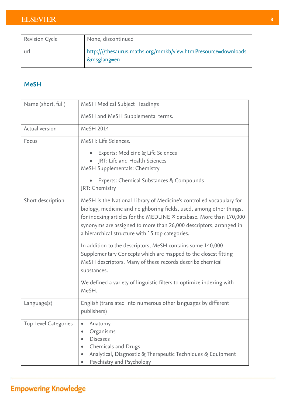| <b>Revision Cycle</b> | None, discontinued                                                                       |
|-----------------------|------------------------------------------------------------------------------------------|
| <b>ur</b>             | http:////thesaurus.maths.org/mmkb/view.html?resource=downloads<br><u>&amp;msglang=en</u> |

### **MeSH**

| Name (short, full)   | MeSH Medical Subject Headings                                                                                                                                                                                                                                                                                                                |  |
|----------------------|----------------------------------------------------------------------------------------------------------------------------------------------------------------------------------------------------------------------------------------------------------------------------------------------------------------------------------------------|--|
|                      | MeSH and MeSH Supplemental terms.                                                                                                                                                                                                                                                                                                            |  |
| Actual version       | MeSH 2014                                                                                                                                                                                                                                                                                                                                    |  |
| Focus                | MeSH: Life Sciences.                                                                                                                                                                                                                                                                                                                         |  |
|                      | Experts: Medicine & Life Sciences                                                                                                                                                                                                                                                                                                            |  |
|                      | JRT: Life and Health Sciences                                                                                                                                                                                                                                                                                                                |  |
|                      | MeSH Supplementals: Chemistry                                                                                                                                                                                                                                                                                                                |  |
|                      | Experts: Chemical Substances & Compounds                                                                                                                                                                                                                                                                                                     |  |
|                      | JRT: Chemistry                                                                                                                                                                                                                                                                                                                               |  |
| Short description    | MeSH is the National Library of Medicine's controlled vocabulary for<br>biology, medicine and neighboring fields, used, among other things,<br>for indexing articles for the MEDLINE ® database. More than 170,000<br>synonyms are assigned to more than 26,000 descriptors, arranged in<br>a hierarchical structure with 15 top categories. |  |
|                      | In addition to the descriptors, MeSH contains some 140,000<br>Supplementary Concepts which are mapped to the closest fitting<br>MeSH descriptors. Many of these records describe chemical<br>substances.                                                                                                                                     |  |
|                      | We defined a variety of linguistic filters to optimize indexing with<br>MeSH.                                                                                                                                                                                                                                                                |  |
| $L$ anguage $(s)$    | English (translated into numerous other languages by different<br>publishers)                                                                                                                                                                                                                                                                |  |
| Top Level Categories | Anatomy<br>$\bullet$                                                                                                                                                                                                                                                                                                                         |  |
|                      | Organisms<br><b>Diseases</b>                                                                                                                                                                                                                                                                                                                 |  |
|                      | Chemicals and Drugs                                                                                                                                                                                                                                                                                                                          |  |
|                      | Analytical, Diagnostic & Therapeutic Techniques & Equipment                                                                                                                                                                                                                                                                                  |  |
|                      | Psychiatry and Psychology                                                                                                                                                                                                                                                                                                                    |  |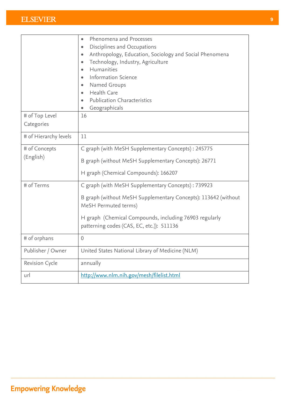|                       | Phenomena and Processes<br>$\bullet$                                                   |
|-----------------------|----------------------------------------------------------------------------------------|
|                       | Disciplines and Occupations<br>$\bullet$                                               |
|                       | Anthropology, Education, Sociology and Social Phenomena                                |
|                       | Technology, Industry, Agriculture<br>$\bullet$                                         |
|                       | Humanities<br>$\bullet$                                                                |
|                       | <b>Information Science</b>                                                             |
|                       | Named Groups                                                                           |
|                       | <b>Health Care</b><br>$\bullet$                                                        |
|                       | <b>Publication Characteristics</b><br>$\bullet$                                        |
|                       | Geographicals                                                                          |
| # of Top Level        | 16                                                                                     |
| Categories            |                                                                                        |
| # of Hierarchy levels | 11                                                                                     |
| # of Concepts         | C graph (with MeSH Supplementary Concepts): 245775                                     |
| (English)             | B graph (without MeSH Supplementary Concepts): 26771                                   |
|                       | H graph (Chemical Compounds): 166207                                                   |
| # of Terms            | C graph (with MeSH Supplementary Concepts): 739923                                     |
|                       | B graph (without MeSH Supplementary Concepts): 113642 (without<br>MeSH Permuted terms) |
|                       | H graph (Chemical Compounds, including 76903 regularly                                 |
|                       | patterning codes (CAS, EC, etc.)): 511136                                              |
| # of orphans          | $\mathbf 0$                                                                            |
| Publisher / Owner     | United States National Library of Medicine (NLM)                                       |
| <b>Revision Cycle</b> | annually                                                                               |
| url                   | http://www.nlm.nih.gov/mesh/filelist.html                                              |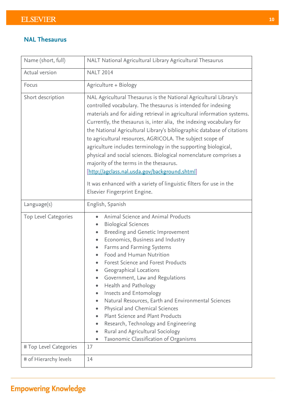#### **NAL Thesaurus**

| Name (short, full)     | NALT National Agricultural Library Agricultural Thesaurus                                                                                                                                                                                                                                                                                                                                                                                                                                                                                                                                                                                                                                                                                                                |  |  |
|------------------------|--------------------------------------------------------------------------------------------------------------------------------------------------------------------------------------------------------------------------------------------------------------------------------------------------------------------------------------------------------------------------------------------------------------------------------------------------------------------------------------------------------------------------------------------------------------------------------------------------------------------------------------------------------------------------------------------------------------------------------------------------------------------------|--|--|
| Actual version         | <b>NALT 2014</b>                                                                                                                                                                                                                                                                                                                                                                                                                                                                                                                                                                                                                                                                                                                                                         |  |  |
| Focus                  | Agriculture + Biology                                                                                                                                                                                                                                                                                                                                                                                                                                                                                                                                                                                                                                                                                                                                                    |  |  |
| Short description      | NAL Agricultural Thesaurus is the National Agricultural Library's<br>controlled vocabulary. The thesaurus is intended for indexing<br>materials and for aiding retrieval in agricultural information systems.<br>Currently, the thesaurus is, inter alia, the indexing vocabulary for<br>the National Agricultural Library's bibliographic database of citations<br>to agricultural resources, AGRICOLA. The subject scope of<br>agriculture includes terminology in the supporting biological,<br>physical and social sciences. Biological nomenclature comprises a<br>majority of the terms in the thesaurus.<br>[http://agclass.nal.usda.gov/background.shtml]<br>It was enhanced with a variety of linguistic filters for use in the<br>Elsevier Fingerprint Engine. |  |  |
| Language(s)            | English, Spanish                                                                                                                                                                                                                                                                                                                                                                                                                                                                                                                                                                                                                                                                                                                                                         |  |  |
| Top Level Categories   | Animal Science and Animal Products<br>$\bullet$<br><b>Biological Sciences</b><br>Breeding and Genetic Improvement<br>$\bullet$<br>Economics, Business and Industry<br>Farms and Farming Systems<br>$\bullet$<br>Food and Human Nutrition<br>Forest Science and Forest Products<br>Geographical Locations<br>Government, Law and Regulations<br>Health and Pathology<br>Insects and Entomology<br>Natural Resources, Earth and Environmental Sciences<br>Physical and Chemical Sciences<br>Plant Science and Plant Products<br>Research, Technology and Engineering<br>Rural and Agricultural Sociology<br>$\bullet$<br>Taxonomic Classification of Organisms<br>$\bullet$                                                                                                |  |  |
| # Top Level Categories | 17                                                                                                                                                                                                                                                                                                                                                                                                                                                                                                                                                                                                                                                                                                                                                                       |  |  |
| # of Hierarchy levels  | 14                                                                                                                                                                                                                                                                                                                                                                                                                                                                                                                                                                                                                                                                                                                                                                       |  |  |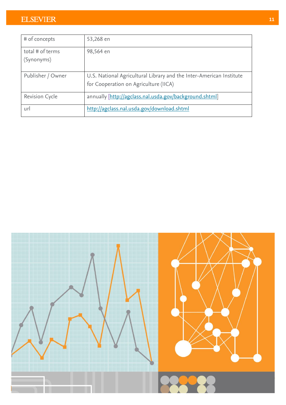| # of concepts                  | 53,268 en                                                                                                    |
|--------------------------------|--------------------------------------------------------------------------------------------------------------|
| total # of terms<br>(Synonyms) | 98,564 en                                                                                                    |
| Publisher / Owner              | U.S. National Agricultural Library and the Inter-American Institute<br>for Cooperation on Agriculture (IICA) |
| <b>Revision Cycle</b>          | annually [http://agclass.nal.usda.gov/background.shtml]                                                      |
| url                            | http://agclass.nal.usda.gov/download.shtml                                                                   |

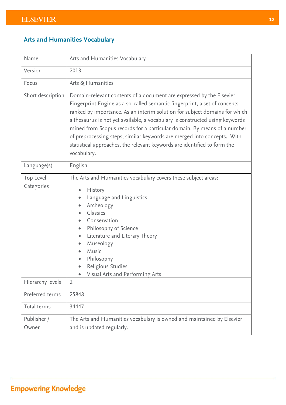### **Arts and Humanities Vocabulary**

| Name                    | Arts and Humanities Vocabulary                                                                                                                                                                                                                                                                                                                                                                                                                                                                                                                                   |  |
|-------------------------|------------------------------------------------------------------------------------------------------------------------------------------------------------------------------------------------------------------------------------------------------------------------------------------------------------------------------------------------------------------------------------------------------------------------------------------------------------------------------------------------------------------------------------------------------------------|--|
| Version                 | 2013                                                                                                                                                                                                                                                                                                                                                                                                                                                                                                                                                             |  |
| Focus                   | Arts & Humanities                                                                                                                                                                                                                                                                                                                                                                                                                                                                                                                                                |  |
| Short description       | Domain-relevant contents of a document are expressed by the Elsevier<br>Fingerprint Engine as a so-called semantic fingerprint, a set of concepts<br>ranked by importance. As an interim solution for subject domains for which<br>a thesaurus is not yet available, a vocabulary is constructed using keywords<br>mined from Scopus records for a particular domain. By means of a number<br>of preprocessing steps, similar keywords are merged into concepts. With<br>statistical approaches, the relevant keywords are identified to form the<br>vocabulary. |  |
| Language(s)             | English                                                                                                                                                                                                                                                                                                                                                                                                                                                                                                                                                          |  |
| Top Level<br>Categories | The Arts and Humanities vocabulary covers these subject areas:<br>History<br>Language and Linguistics<br>$\bullet$<br>Archeology<br>$\bullet$<br>Classics<br>Conservation<br>Philosophy of Science<br>$\bullet$<br>Literature and Literary Theory<br>$\bullet$<br>Museology<br>$\bullet$<br>Music<br>Philosophy<br>Religious Studies<br>Visual Arts and Performing Arts                                                                                                                                                                                          |  |
| Hierarchy levels        | $\overline{2}$                                                                                                                                                                                                                                                                                                                                                                                                                                                                                                                                                   |  |
| Preferred terms         | 25848                                                                                                                                                                                                                                                                                                                                                                                                                                                                                                                                                            |  |
| Total terms             | 34447                                                                                                                                                                                                                                                                                                                                                                                                                                                                                                                                                            |  |
| Publisher /<br>Owner    | The Arts and Humanities vocabulary is owned and maintained by Elsevier<br>and is updated regularly.                                                                                                                                                                                                                                                                                                                                                                                                                                                              |  |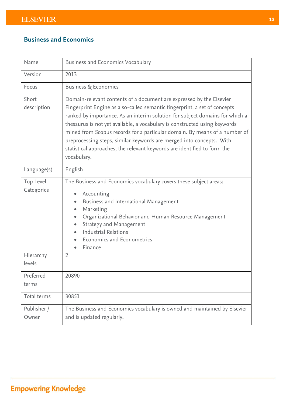### **Business and Economics**

| Name                    | <b>Business and Economics Vocabulary</b>                                                                                                                                                                                                                                                                                                                                                                                                                                                                                                                         |  |
|-------------------------|------------------------------------------------------------------------------------------------------------------------------------------------------------------------------------------------------------------------------------------------------------------------------------------------------------------------------------------------------------------------------------------------------------------------------------------------------------------------------------------------------------------------------------------------------------------|--|
| Version                 | 2013                                                                                                                                                                                                                                                                                                                                                                                                                                                                                                                                                             |  |
| Focus                   | <b>Business &amp; Economics</b>                                                                                                                                                                                                                                                                                                                                                                                                                                                                                                                                  |  |
| Short<br>description    | Domain-relevant contents of a document are expressed by the Elsevier<br>Fingerprint Engine as a so-called semantic fingerprint, a set of concepts<br>ranked by importance. As an interim solution for subject domains for which a<br>thesaurus is not yet available, a vocabulary is constructed using keywords<br>mined from Scopus records for a particular domain. By means of a number of<br>preprocessing steps, similar keywords are merged into concepts. With<br>statistical approaches, the relevant keywords are identified to form the<br>vocabulary. |  |
| Language(s)             | English                                                                                                                                                                                                                                                                                                                                                                                                                                                                                                                                                          |  |
| Top Level<br>Categories | The Business and Economics vocabulary covers these subject areas:<br>Accounting<br>Business and International Management<br>Marketing<br>Organizational Behavior and Human Resource Management<br>Strategy and Management<br>Industrial Relations<br>Economics and Econometrics<br>Finance                                                                                                                                                                                                                                                                       |  |
| Hierarchy<br>levels     | $\overline{2}$                                                                                                                                                                                                                                                                                                                                                                                                                                                                                                                                                   |  |
| Preferred<br>terms      | 20890                                                                                                                                                                                                                                                                                                                                                                                                                                                                                                                                                            |  |
| Total terms             | 30851                                                                                                                                                                                                                                                                                                                                                                                                                                                                                                                                                            |  |
| Publisher /<br>Owner    | The Business and Economics vocabulary is owned and maintained by Elsevier<br>and is updated regularly.                                                                                                                                                                                                                                                                                                                                                                                                                                                           |  |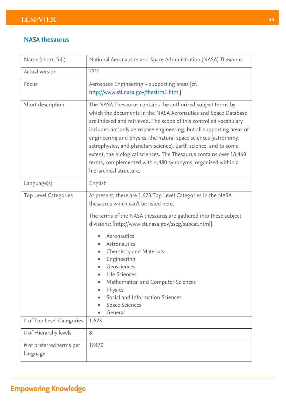#### **NASA thesaurus**

| Name (short, full)                   | National Aeronautics and Space Administration (NASA) Thesaurus                                                                                                                                                                                                                                                                                                                                                                                                                                                                                                                      |
|--------------------------------------|-------------------------------------------------------------------------------------------------------------------------------------------------------------------------------------------------------------------------------------------------------------------------------------------------------------------------------------------------------------------------------------------------------------------------------------------------------------------------------------------------------------------------------------------------------------------------------------|
| Actual version                       | 2013                                                                                                                                                                                                                                                                                                                                                                                                                                                                                                                                                                                |
| Focus                                | Aerospace Engineering + supporting areas [cf.<br>http://www.sti.nasa.gov/thesfrm1.htm]                                                                                                                                                                                                                                                                                                                                                                                                                                                                                              |
| Short description                    | The NASA Thesaurus contains the authorized subject terms by<br>which the documents in the NASA Aeronautics and Space Database<br>are indexed and retrieved. The scope of this controlled vocabulary<br>includes not only aerospace engineering, but all supporting areas of<br>engineering and physics, the natural space sciences (astronomy,<br>astrophysics, and planetary science), Earth science, and to some<br>extent, the biological sciences. The Thesaurus contains over 18,460<br>terms, complemented with 4,480 synonyms, organized within a<br>hierarchical structure. |
| Language(s)                          | English                                                                                                                                                                                                                                                                                                                                                                                                                                                                                                                                                                             |
| Top Level Categories                 | At present, there are 1,623 Top Level Categories in the NASA<br>thesaurus which can't be listed here.<br>The terms of the NASA thesaurus are gathered into these subject<br>divisions: [http://www.sti.nasa.gov/sscg/subcat.html]<br>Aeronautics<br>Astronautics<br>Chemistry and Materials<br>Engineering<br>Geosciences<br>Life Sciences<br>$\bullet$<br>Mathematical and Computer Sciences<br>Physics<br>Social and Information Sciences                                                                                                                                         |
|                                      | <b>Space Sciences</b><br>General                                                                                                                                                                                                                                                                                                                                                                                                                                                                                                                                                    |
| # of Top Level Categories            | 1,623                                                                                                                                                                                                                                                                                                                                                                                                                                                                                                                                                                               |
| # of Hierarchy levels                | 8                                                                                                                                                                                                                                                                                                                                                                                                                                                                                                                                                                                   |
| # of preferred terms per<br>language | 18470                                                                                                                                                                                                                                                                                                                                                                                                                                                                                                                                                                               |